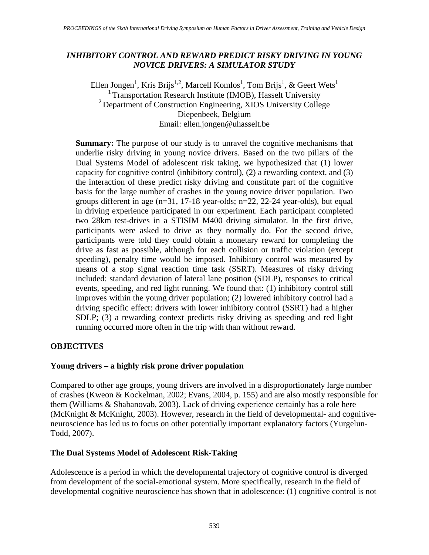## *INHIBITORY CONTROL AND REWARD PREDICT RISKY DRIVING IN YOUNG NOVICE DRIVERS: A SIMULATOR STUDY*

Ellen Jongen<sup>1</sup>, Kris Brijs<sup>1,2</sup>, Marcell Komlos<sup>1</sup>, Tom Brijs<sup>1</sup>, & Geert Wets<sup>1</sup> <sup>1</sup> Transportation Research Institute (IMOB), Hasselt University 2 Department of Construction Engineering, XIOS University College Diepenbeek, Belgium Email: ellen.jongen@uhasselt.be

**Summary:** The purpose of our study is to unravel the cognitive mechanisms that underlie risky driving in young novice drivers. Based on the two pillars of the Dual Systems Model of adolescent risk taking, we hypothesized that (1) lower capacity for cognitive control (inhibitory control), (2) a rewarding context, and (3) the interaction of these predict risky driving and constitute part of the cognitive basis for the large number of crashes in the young novice driver population. Two groups different in age (n=31, 17-18 year-olds; n=22, 22-24 year-olds), but equal in driving experience participated in our experiment. Each participant completed two 28km test-drives in a STISIM M400 driving simulator. In the first drive, participants were asked to drive as they normally do. For the second drive, participants were told they could obtain a monetary reward for completing the drive as fast as possible, although for each collision or traffic violation (except speeding), penalty time would be imposed. Inhibitory control was measured by means of a stop signal reaction time task (SSRT). Measures of risky driving included: standard deviation of lateral lane position (SDLP), responses to critical events, speeding, and red light running. We found that: (1) inhibitory control still improves within the young driver population; (2) lowered inhibitory control had a driving specific effect: drivers with lower inhibitory control (SSRT) had a higher SDLP; (3) a rewarding context predicts risky driving as speeding and red light running occurred more often in the trip with than without reward.

## **OBJECTIVES**

## **Young drivers – a highly risk prone driver population**

Compared to other age groups, young drivers are involved in a disproportionately large number of crashes (Kweon & Kockelman, 2002; Evans, 2004, p. 155) and are also mostly responsible for them (Williams & Shabanovab, 2003). Lack of driving experience certainly has a role here (McKnight & McKnight, 2003). However, research in the field of developmental- and cognitiveneuroscience has led us to focus on other potentially important explanatory factors (Yurgelun-Todd, 2007).

## **The Dual Systems Model of Adolescent Risk-Taking**

Adolescence is a period in which the developmental trajectory of cognitive control is diverged from development of the social-emotional system. More specifically, research in the field of developmental cognitive neuroscience has shown that in adolescence: (1) cognitive control is not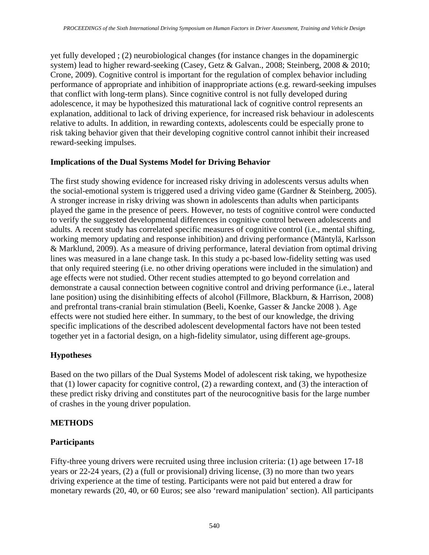yet fully developed ; (2) neurobiological changes (for instance changes in the dopaminergic system) lead to higher reward-seeking (Casey, Getz & Galvan., 2008; Steinberg, 2008 & 2010; Crone, 2009). Cognitive control is important for the regulation of complex behavior including performance of appropriate and inhibition of inappropriate actions (e.g. reward-seeking impulses that conflict with long-term plans). Since cognitive control is not fully developed during adolescence, it may be hypothesized this maturational lack of cognitive control represents an explanation, additional to lack of driving experience, for increased risk behaviour in adolescents relative to adults. In addition, in rewarding contexts, adolescents could be especially prone to risk taking behavior given that their developing cognitive control cannot inhibit their increased reward-seeking impulses.

### **Implications of the Dual Systems Model for Driving Behavior**

The first study showing evidence for increased risky driving in adolescents versus adults when the social-emotional system is triggered used a driving video game (Gardner & Steinberg, 2005). A stronger increase in risky driving was shown in adolescents than adults when participants played the game in the presence of peers. However, no tests of cognitive control were conducted to verify the suggested developmental differences in cognitive control between adolescents and adults. A recent study has correlated specific measures of cognitive control (i.e., mental shifting, working memory updating and response inhibition) and driving performance (Mäntylä, Karlsson & Marklund, 2009). As a measure of driving performance, lateral deviation from optimal driving lines was measured in a lane change task. In this study a pc-based low-fidelity setting was used that only required steering (i.e. no other driving operations were included in the simulation) and age effects were not studied. Other recent studies attempted to go beyond correlation and demonstrate a causal connection between cognitive control and driving performance (i.e., lateral lane position) using the disinhibiting effects of alcohol (Fillmore, Blackburn, & Harrison, 2008) and prefrontal trans-cranial brain stimulation (Beeli, Koenke, Gasser & Jancke 2008 ). Age effects were not studied here either. In summary, to the best of our knowledge, the driving specific implications of the described adolescent developmental factors have not been tested together yet in a factorial design, on a high-fidelity simulator, using different age-groups.

## **Hypotheses**

Based on the two pillars of the Dual Systems Model of adolescent risk taking, we hypothesize that (1) lower capacity for cognitive control, (2) a rewarding context, and (3) the interaction of these predict risky driving and constitutes part of the neurocognitive basis for the large number of crashes in the young driver population.

## **METHODS**

## **Participants**

Fifty-three young drivers were recruited using three inclusion criteria: (1) age between 17-18 years or 22-24 years, (2) a (full or provisional) driving license, (3) no more than two years driving experience at the time of testing. Participants were not paid but entered a draw for monetary rewards (20, 40, or 60 Euros; see also 'reward manipulation' section). All participants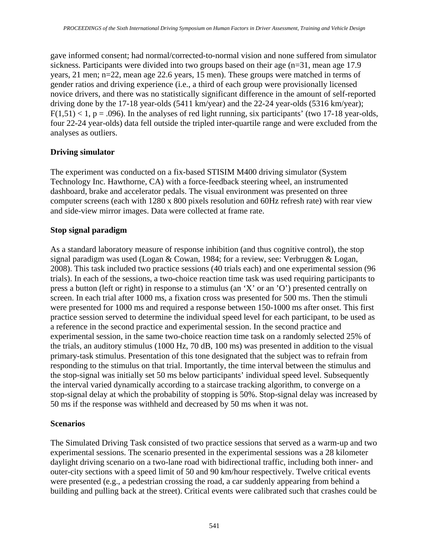gave informed consent; had normal/corrected-to-normal vision and none suffered from simulator sickness. Participants were divided into two groups based on their age (n=31, mean age 17.9 years, 21 men; n=22, mean age 22.6 years, 15 men). These groups were matched in terms of gender ratios and driving experience (i.e., a third of each group were provisionally licensed novice drivers, and there was no statistically significant difference in the amount of self-reported driving done by the 17-18 year-olds (5411 km/year) and the 22-24 year-olds (5316 km/year);  $F(1,51)$  < 1, p = .096). In the analyses of red light running, six participants' (two 17-18 year-olds, four 22-24 year-olds) data fell outside the tripled inter-quartile range and were excluded from the analyses as outliers.

### **Driving simulator**

The experiment was conducted on a fix-based STISIM M400 driving simulator (System Technology Inc. Hawthorne, CA) with a force-feedback steering wheel, an instrumented dashboard, brake and accelerator pedals. The visual environment was presented on three computer screens (each with 1280 x 800 pixels resolution and 60Hz refresh rate) with rear view and side-view mirror images. Data were collected at frame rate.

### **Stop signal paradigm**

As a standard laboratory measure of response inhibition (and thus cognitive control), the stop signal paradigm was used (Logan & Cowan, 1984; for a review, see: Verbruggen & Logan, 2008). This task included two practice sessions (40 trials each) and one experimental session (96 trials). In each of the sessions, a two**-**choice reaction time task was used requiring participants to press a button (left or right) in response to a stimulus (an 'X' or an 'O') presented centrally on screen. In each trial after 1000 ms, a fixation cross was presented for 500 ms. Then the stimuli were presented for 1000 ms and required a response between 150-1000 ms after onset. This first practice session served to determine the individual speed level for each participant, to be used as a reference in the second practice and experimental session. In the second practice and experimental session, in the same two-choice reaction time task on a randomly selected 25% of the trials, an auditory stimulus (1000 Hz, 70 dB, 100 ms) was presented in addition to the visual primary-task stimulus. Presentation of this tone designated that the subject was to refrain from responding to the stimulus on that trial. Importantly, the time interval between the stimulus and the stop-signal was initially set 50 ms below participants' individual speed level. Subsequently the interval varied dynamically according to a staircase tracking algorithm, to converge on a stop-signal delay at which the probability of stopping is 50%. Stop-signal delay was increased by 50 ms if the response was withheld and decreased by 50 ms when it was not.

#### **Scenarios**

The Simulated Driving Task consisted of two practice sessions that served as a warm-up and two experimental sessions. The scenario presented in the experimental sessions was a 28 kilometer daylight driving scenario on a two-lane road with bidirectional traffic, including both inner- and outer-city sections with a speed limit of 50 and 90 km/hour respectively. Twelve critical events were presented (e.g., a pedestrian crossing the road, a car suddenly appearing from behind a building and pulling back at the street). Critical events were calibrated such that crashes could be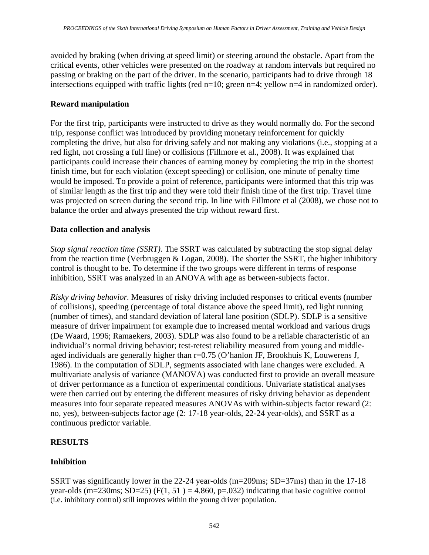avoided by braking (when driving at speed limit) or steering around the obstacle. Apart from the critical events, other vehicles were presented on the roadway at random intervals but required no passing or braking on the part of the driver. In the scenario, participants had to drive through 18 intersections equipped with traffic lights (red n=10; green n=4; yellow n=4 in randomized order).

### **Reward manipulation**

For the first trip, participants were instructed to drive as they would normally do. For the second trip, response conflict was introduced by providing monetary reinforcement for quickly completing the drive, but also for driving safely and not making any violations (i.e., stopping at a red light, not crossing a full line) or collisions (Fillmore et al., 2008). It was explained that participants could increase their chances of earning money by completing the trip in the shortest finish time, but for each violation (except speeding) or collision, one minute of penalty time would be imposed. To provide a point of reference, participants were informed that this trip was of similar length as the first trip and they were told their finish time of the first trip. Travel time was projected on screen during the second trip. In line with Fillmore et al (2008), we chose not to balance the order and always presented the trip without reward first.

### **Data collection and analysis**

*Stop signal reaction time (SSRT).* The SSRT was calculated by subtracting the stop signal delay from the reaction time (Verbruggen & Logan, 2008). The shorter the SSRT, the higher inhibitory control is thought to be. To determine if the two groups were different in terms of response inhibition, SSRT was analyzed in an ANOVA with age as between-subjects factor.

*Risky driving behavior.* Measures of risky driving included responses to critical events (number of collisions), speeding (percentage of total distance above the speed limit), red light running (number of times), and standard deviation of lateral lane position (SDLP). SDLP is a sensitive measure of driver impairment for example due to increased mental workload and various drugs (De Waard, 1996; Ramaekers, 2003). SDLP was also found to be a reliable characteristic of an individual's normal driving behavior; test-retest reliability measured from young and middleaged individuals are generally higher than r=0.75 (O'hanlon JF, Brookhuis K, Louwerens J, 1986). In the computation of SDLP, segments associated with lane changes were excluded. A multivariate analysis of variance (MANOVA) was conducted first to provide an overall measure of driver performance as a function of experimental conditions. Univariate statistical analyses were then carried out by entering the different measures of risky driving behavior as dependent measures into four separate repeated measures ANOVAs with within-subjects factor reward (2: no, yes), between-subjects factor age (2: 17-18 year-olds, 22-24 year-olds), and SSRT as a continuous predictor variable.

## **RESULTS**

## **Inhibition**

SSRT was significantly lower in the 22-24 year-olds (m=209ms; SD=37ms) than in the 17-18 year-olds (m=230ms; SD=25) (F(1, 51) = 4.860, p=.032) indicating that basic cognitive control (i.e. inhibitory control) still improves within the young driver population.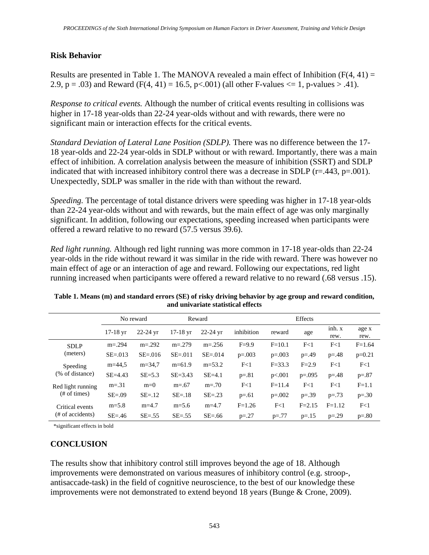### **Risk Behavior**

Results are presented in Table 1. The MANOVA revealed a main effect of Inhibition ( $F(4, 41) =$ 2.9, p = .03) and Reward (F(4, 41) = 16.5, p < .001) (all other F-values  $\leq$  1, p-values > .41).

*Response to critical events.* Although the number of critical events resulting in collisions was higher in 17-18 year-olds than 22-24 year-olds without and with rewards, there were no significant main or interaction effects for the critical events.

*Standard Deviation of Lateral Lane Position (SDLP).* There was no difference between the 17- 18 year-olds and 22-24 year-olds in SDLP without or with reward. Importantly, there was a main effect of inhibition. A correlation analysis between the measure of inhibition (SSRT) and SDLP indicated that with increased inhibitory control there was a decrease in SDLP (r=.443, p=.001). Unexpectedly, SDLP was smaller in the ride with than without the reward.

*Speeding.* The percentage of total distance drivers were speeding was higher in 17-18 year-olds than 22-24 year-olds without and with rewards, but the main effect of age was only marginally significant. In addition, following our expectations, speeding increased when participants were offered a reward relative to no reward (57.5 versus 39.6).

*Red light running.* Although red light running was more common in 17-18 year-olds than 22-24 year-olds in the ride without reward it was similar in the ride with reward. There was however no main effect of age or an interaction of age and reward. Following our expectations, red light running increased when participants were offered a reward relative to no reward (.68 versus .15).

|                                     | No reward   |              | Reward      |              | <b>Effects</b> |            |            |                |               |
|-------------------------------------|-------------|--------------|-------------|--------------|----------------|------------|------------|----------------|---------------|
|                                     | $17-18$ yr  | $22 - 24$ yr | $17-18$ yr  | $22 - 24$ vr | inhibition     | reward     | age        | inh. x<br>rew. | age x<br>rew. |
| <b>SDLP</b><br>(meters)             | $m = 294$   | $m = 292$    | $m = 279$   | $m = 256$    | $F=9.9$        | $F = 10.1$ | F<1        | F<1            | $F = 1.64$    |
|                                     | $SE = 013$  | $SE = 016$   | $SE = .011$ | $SE = 014$   | $p=.003$       | $p=.003$   | $p = 0.49$ | $p = 0.48$     | $p=0.21$      |
| Speeding<br>(% of distance)         | $m=44.5$    | $m = 34.7$   | $m=61.9$    | $m = 53.2$   | F<1            | $F = 33.3$ | $F = 2.9$  | F<1            | F<1           |
|                                     | $SE = 4.43$ | $SE = 5.3$   | $SE = 3.43$ | $SE=4.1$     | $p=.81$        | p<.001     | $p=.095$   | $p = 0.48$     | $p=.87$       |
| Red light running<br>$#$ of times)  | $m = .31$   | $m=0$        | $m = .67$   | $m = 70$     | F<1            | $F = 11.4$ | F<1        | F<1            | $F=1.1$       |
|                                     | $SE = .09$  | $SE = 12$    | $SE = 18$   | $SE = .23$   | $p=.61$        | $p=.002$   | $p=.39$    | $p=.73$        | $p=.30$       |
| Critical events<br>(# of accidents) | $m=5.8$     | $m=4.7$      | $m=5.6$     | $m=4.7$      | $F = 1.26$     | F<1        | $F = 2.15$ | $F = 1.12$     | F<1           |
|                                     | $SE = 46$   | $SE = .55$   | $SE=.55$    | $SE = .66$   | $p = 27$       | $p=.77$    | $p = 15$   | $p = 0.29$     | $p=.80$       |

| Table 1. Means (m) and standard errors (SE) of risky driving behavior by age group and reward condition, |
|----------------------------------------------------------------------------------------------------------|
| and univariate statistical effects                                                                       |

\*significant effects in bold

# **CONCLUSION**

The results show that inhibitory control still improves beyond the age of 18. Although improvements were demonstrated on various measures of inhibitory control (e.g. stroop-, antisaccade-task) in the field of cognitive neuroscience, to the best of our knowledge these improvements were not demonstrated to extend beyond 18 years (Bunge & Crone, 2009).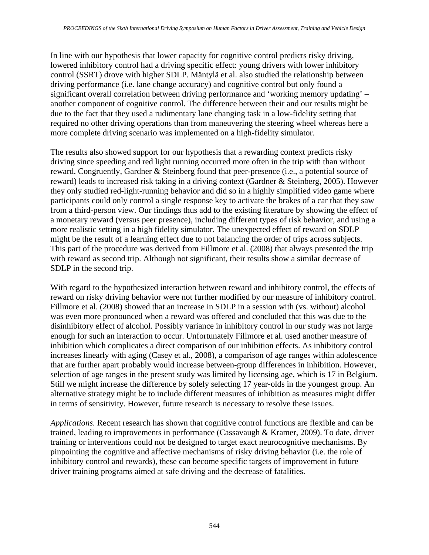In line with our hypothesis that lower capacity for cognitive control predicts risky driving, lowered inhibitory control had a driving specific effect: young drivers with lower inhibitory control (SSRT) drove with higher SDLP. Mäntylä et al. also studied the relationship between driving performance (i.e. lane change accuracy) and cognitive control but only found a significant overall correlation between driving performance and 'working memory updating' – another component of cognitive control. The difference between their and our results might be due to the fact that they used a rudimentary lane changing task in a low-fidelity setting that required no other driving operations than from maneuvering the steering wheel whereas here a more complete driving scenario was implemented on a high-fidelity simulator.

The results also showed support for our hypothesis that a rewarding context predicts risky driving since speeding and red light running occurred more often in the trip with than without reward. Congruently, Gardner & Steinberg found that peer-presence (i.e., a potential source of reward) leads to increased risk taking in a driving context (Gardner & Steinberg, 2005). However they only studied red-light-running behavior and did so in a highly simplified video game where participants could only control a single response key to activate the brakes of a car that they saw from a third-person view. Our findings thus add to the existing literature by showing the effect of a monetary reward (versus peer presence), including different types of risk behavior, and using a more realistic setting in a high fidelity simulator. The unexpected effect of reward on SDLP might be the result of a learning effect due to not balancing the order of trips across subjects. This part of the procedure was derived from Fillmore et al. (2008) that always presented the trip with reward as second trip. Although not significant, their results show a similar decrease of SDLP in the second trip.

With regard to the hypothesized interaction between reward and inhibitory control, the effects of reward on risky driving behavior were not further modified by our measure of inhibitory control. Fillmore et al. (2008) showed that an increase in SDLP in a session with (vs. without) alcohol was even more pronounced when a reward was offered and concluded that this was due to the disinhibitory effect of alcohol. Possibly variance in inhibitory control in our study was not large enough for such an interaction to occur. Unfortunately Fillmore et al. used another measure of inhibition which complicates a direct comparison of our inhibition effects. As inhibitory control increases linearly with aging (Casey et al., 2008), a comparison of age ranges within adolescence that are further apart probably would increase between-group differences in inhibition. However, selection of age ranges in the present study was limited by licensing age, which is 17 in Belgium. Still we might increase the difference by solely selecting 17 year-olds in the youngest group. An alternative strategy might be to include different measures of inhibition as measures might differ in terms of sensitivity. However, future research is necessary to resolve these issues.

*Applications.* Recent research has shown that cognitive control functions are flexible and can be trained, leading to improvements in performance (Cassavaugh & Kramer, 2009). To date, driver training or interventions could not be designed to target exact neurocognitive mechanisms. By pinpointing the cognitive and affective mechanisms of risky driving behavior (i.e. the role of inhibitory control and rewards), these can become specific targets of improvement in future driver training programs aimed at safe driving and the decrease of fatalities.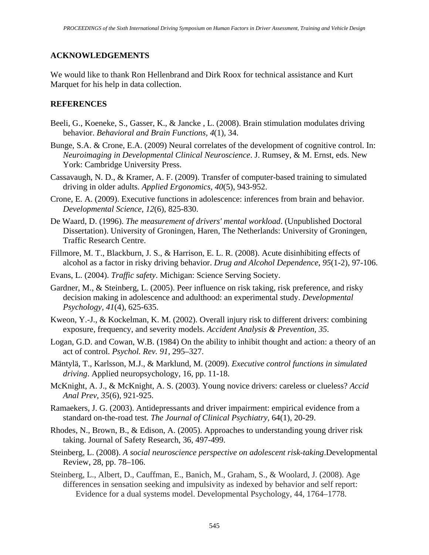## **ACKNOWLEDGEMENTS**

We would like to thank Ron Hellenbrand and Dirk Roox for technical assistance and Kurt Marquet for his help in data collection.

### **REFERENCES**

- Beeli, G., Koeneke, S., Gasser, K., & Jancke , L. (2008). Brain stimulation modulates driving behavior. *Behavioral and Brain Functions, 4*(1), 34.
- Bunge, S.A. & Crone, E.A. (2009) Neural correlates of the development of cognitive control. In: *Neuroimaging in Developmental Clinical Neuroscience*. J. Rumsey, & M. Ernst, eds. New York: Cambridge University Press.
- Cassavaugh, N. D., & Kramer, A. F. (2009). Transfer of computer-based training to simulated driving in older adults. *Applied Ergonomics*, *40*(5), 943-952.
- Crone, E. A. (2009). Executive functions in adolescence: inferences from brain and behavior. *Developmental Science*, *12*(6), 825-830.
- De Waard, D. (1996). *The measurement of drivers' mental workload*. (Unpublished Doctoral Dissertation). University of Groningen, Haren, The Netherlands: University of Groningen, Traffic Research Centre.
- Fillmore, M. T., Blackburn, J. S., & Harrison, E. L. R. (2008). Acute disinhibiting effects of alcohol as a factor in risky driving behavior. *Drug and Alcohol Dependence*, *95*(1-2), 97-106.
- Evans, L. (2004). *Traffic safety*. Michigan: Science Serving Society.
- Gardner, M., & Steinberg, L. (2005). Peer influence on risk taking, risk preference, and risky decision making in adolescence and adulthood: an experimental study. *Developmental Psychology*, *41*(4), 625-635.
- Kweon, Y.-J., & Kockelman, K. M. (2002). Overall injury risk to different drivers: combining exposure, frequency, and severity models. *Accident Analysis & Prevention, 35*.
- Logan, G.D. and Cowan, W.B. (1984) On the ability to inhibit thought and action: a theory of an act of control. *Psychol. Rev. 91*, 295–327.
- Mäntylä, T., Karlsson, M.J., & Marklund, M. (2009). *Executive control functions in simulated driving*. Applied neuropsychology, 16, pp. 11-18.
- McKnight, A. J., & McKnight, A. S. (2003). Young novice drivers: careless or clueless? *Accid Anal Prev, 35*(6), 921-925.
- Ramaekers, J. G. (2003). Antidepressants and driver impairment: empirical evidence from a standard on-the-road test*. The Journal of Clinical Psychiatry,* 64(1), 20-29.
- Rhodes, N., Brown, B., & Edison, A. (2005). Approaches to understanding young driver risk taking. Journal of Safety Research, 36, 497-499.
- Steinberg, L. (2008). *A social neuroscience perspective on adolescent risk-taking*.Developmental Review, 28, pp. 78–106.
- Steinberg, L., Albert, D., Cauffman, E., Banich, M., Graham, S., & Woolard, J. (2008). Age differences in sensation seeking and impulsivity as indexed by behavior and self report: Evidence for a dual systems model. Developmental Psychology, 44, 1764–1778.